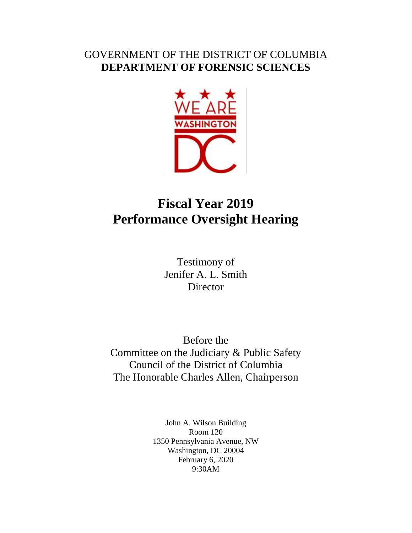## GOVERNMENT OF THE DISTRICT OF COLUMBIA **DEPARTMENT OF FORENSIC SCIENCES**



## **Fiscal Year 2019 Performance Oversight Hearing**

Testimony of Jenifer A. L. Smith **Director** 

Before the Committee on the Judiciary & Public Safety Council of the District of Columbia The Honorable Charles Allen, Chairperson

> John A. Wilson Building Room 120 1350 Pennsylvania Avenue, NW Washington, DC 20004 February 6, 2020 9:30AM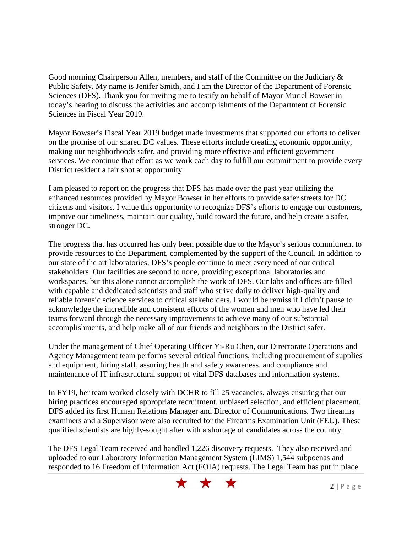Good morning Chairperson Allen, members, and staff of the Committee on the Judiciary & Public Safety. My name is Jenifer Smith, and I am the Director of the Department of Forensic Sciences (DFS). Thank you for inviting me to testify on behalf of Mayor Muriel Bowser in today's hearing to discuss the activities and accomplishments of the Department of Forensic Sciences in Fiscal Year 2019.

Mayor Bowser's Fiscal Year 2019 budget made investments that supported our efforts to deliver on the promise of our shared DC values. These efforts include creating economic opportunity, making our neighborhoods safer, and providing more effective and efficient government services. We continue that effort as we work each day to fulfill our commitment to provide every District resident a fair shot at opportunity.

I am pleased to report on the progress that DFS has made over the past year utilizing the enhanced resources provided by Mayor Bowser in her efforts to provide safer streets for DC citizens and visitors. I value this opportunity to recognize DFS's efforts to engage our customers, improve our timeliness, maintain our quality, build toward the future, and help create a safer, stronger DC.

The progress that has occurred has only been possible due to the Mayor's serious commitment to provide resources to the Department, complemented by the support of the Council. In addition to our state of the art laboratories, DFS's people continue to meet every need of our critical stakeholders. Our facilities are second to none, providing exceptional laboratories and workspaces, but this alone cannot accomplish the work of DFS. Our labs and offices are filled with capable and dedicated scientists and staff who strive daily to deliver high-quality and reliable forensic science services to critical stakeholders. I would be remiss if I didn't pause to acknowledge the incredible and consistent efforts of the women and men who have led their teams forward through the necessary improvements to achieve many of our substantial accomplishments, and help make all of our friends and neighbors in the District safer.

Under the management of Chief Operating Officer Yi-Ru Chen, our Directorate Operations and Agency Management team performs several critical functions, including procurement of supplies and equipment, hiring staff, assuring health and safety awareness, and compliance and maintenance of IT infrastructural support of vital DFS databases and information systems.

In FY19, her team worked closely with DCHR to fill 25 vacancies, always ensuring that our hiring practices encouraged appropriate recruitment, unbiased selection, and efficient placement. DFS added its first Human Relations Manager and Director of Communications. Two firearms examiners and a Supervisor were also recruited for the Firearms Examination Unit (FEU). These qualified scientists are highly-sought after with a shortage of candidates across the country.

The DFS Legal Team received and handled 1,226 discovery requests. They also received and uploaded to our Laboratory Information Management System (LIMS) 1,544 subpoenas and responded to 16 Freedom of Information Act (FOIA) requests. The Legal Team has put in place

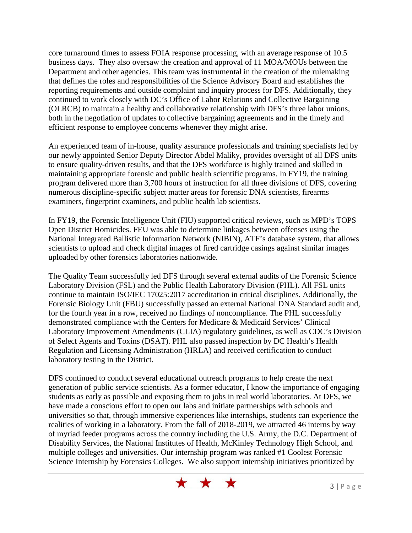core turnaround times to assess FOIA response processing, with an average response of 10.5 business days. They also oversaw the creation and approval of 11 MOA/MOUs between the Department and other agencies. This team was instrumental in the creation of the rulemaking that defines the roles and responsibilities of the Science Advisory Board and establishes the reporting requirements and outside complaint and inquiry process for DFS. Additionally, they continued to work closely with DC's Office of Labor Relations and Collective Bargaining (OLRCB) to maintain a healthy and collaborative relationship with DFS's three labor unions, both in the negotiation of updates to collective bargaining agreements and in the timely and efficient response to employee concerns whenever they might arise.

An experienced team of in-house, quality assurance professionals and training specialists led by our newly appointed Senior Deputy Director Abdel Maliky, provides oversight of all DFS units to ensure quality-driven results, and that the DFS workforce is highly trained and skilled in maintaining appropriate forensic and public health scientific programs. In FY19, the training program delivered more than 3,700 hours of instruction for all three divisions of DFS, covering numerous discipline-specific subject matter areas for forensic DNA scientists, firearms examiners, fingerprint examiners, and public health lab scientists.

In FY19, the Forensic Intelligence Unit (FIU) supported critical reviews, such as MPD's TOPS Open District Homicides. FEU was able to determine linkages between offenses using the National Integrated Ballistic Information Network (NIBIN), ATF's database system, that allows scientists to upload and check digital images of fired cartridge casings against similar images uploaded by other forensics laboratories nationwide.

The Quality Team successfully led DFS through several external audits of the Forensic Science Laboratory Division (FSL) and the Public Health Laboratory Division (PHL). All FSL units continue to maintain ISO/IEC 17025:2017 accreditation in critical disciplines. Additionally, the Forensic Biology Unit (FBU) successfully passed an external National DNA Standard audit and, for the fourth year in a row, received no findings of noncompliance. The PHL successfully demonstrated compliance with the Centers for Medicare & Medicaid Services' Clinical Laboratory Improvement Amendments (CLIA) regulatory guidelines, as well as CDC's Division of Select Agents and Toxins (DSAT). PHL also passed inspection by DC Health's Health Regulation and Licensing Administration (HRLA) and received certification to conduct laboratory testing in the District.

DFS continued to conduct several educational outreach programs to help create the next generation of public service scientists. As a former educator, I know the importance of engaging students as early as possible and exposing them to jobs in real world laboratories. At DFS, we have made a conscious effort to open our labs and initiate partnerships with schools and universities so that, through immersive experiences like internships, students can experience the realities of working in a laboratory. From the fall of 2018-2019, we attracted 46 interns by way of myriad feeder programs across the country including the U.S. Army, the D.C. Department of Disability Services, the National Institutes of Health, McKinley Technology High School, and multiple colleges and universities. Our internship program was ranked #1 Coolest Forensic Science Internship by Forensics Colleges. We also support internship initiatives prioritized by

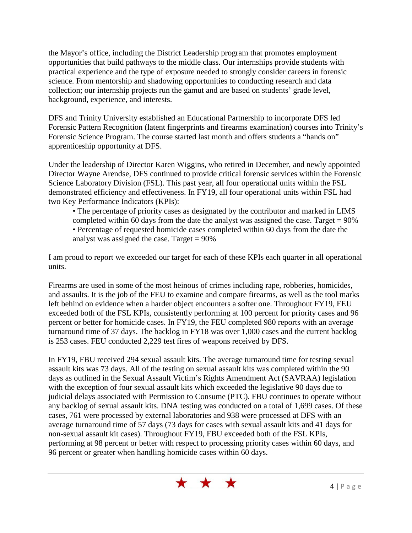the Mayor's office, including the District Leadership program that promotes employment opportunities that build pathways to the middle class. Our internships provide students with practical experience and the type of exposure needed to strongly consider careers in forensic science. From mentorship and shadowing opportunities to conducting research and data collection; our internship projects run the gamut and are based on students' grade level, background, experience, and interests.

DFS and Trinity University established an Educational Partnership to incorporate DFS led Forensic Pattern Recognition (latent fingerprints and firearms examination) courses into Trinity's Forensic Science Program. The course started last month and offers students a "hands on" apprenticeship opportunity at DFS.

Under the leadership of Director Karen Wiggins, who retired in December, and newly appointed Director Wayne Arendse, DFS continued to provide critical forensic services within the Forensic Science Laboratory Division (FSL). This past year, all four operational units within the FSL demonstrated efficiency and effectiveness. In FY19, all four operational units within FSL had two Key Performance Indicators (KPIs):

- The percentage of priority cases as designated by the contributor and marked in LIMS
- completed within 60 days from the date the analyst was assigned the case. Target  $= 90\%$
- Percentage of requested homicide cases completed within 60 days from the date the analyst was assigned the case. Target  $= 90\%$

I am proud to report we exceeded our target for each of these KPIs each quarter in all operational units.

Firearms are used in some of the most heinous of crimes including rape, robberies, homicides, and assaults. It is the job of the FEU to examine and compare firearms, as well as the tool marks left behind on evidence when a harder object encounters a softer one. Throughout FY19, FEU exceeded both of the FSL KPIs, consistently performing at 100 percent for priority cases and 96 percent or better for homicide cases. In FY19, the FEU completed 980 reports with an average turnaround time of 37 days. The backlog in FY18 was over 1,000 cases and the current backlog is 253 cases. FEU conducted 2,229 test fires of weapons received by DFS.

In FY19, FBU received 294 sexual assault kits. The average turnaround time for testing sexual assault kits was 73 days. All of the testing on sexual assault kits was completed within the 90 days as outlined in the Sexual Assault Victim's Rights Amendment Act (SAVRAA) legislation with the exception of four sexual assault kits which exceeded the legislative 90 days due to judicial delays associated with Permission to Consume (PTC). FBU continues to operate without any backlog of sexual assault kits. DNA testing was conducted on a total of 1,699 cases. Of these cases, 761 were processed by external laboratories and 938 were processed at DFS with an average turnaround time of 57 days (73 days for cases with sexual assault kits and 41 days for non-sexual assault kit cases). Throughout FY19, FBU exceeded both of the FSL KPIs, performing at 98 percent or better with respect to processing priority cases within 60 days, and 96 percent or greater when handling homicide cases within 60 days.

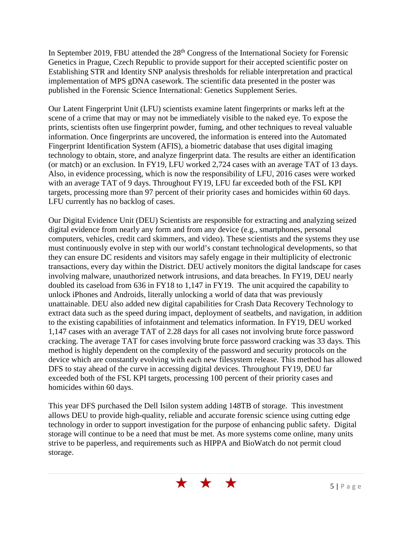In September 2019, FBU attended the 28<sup>th</sup> Congress of the International Society for Forensic Genetics in Prague, Czech Republic to provide support for their accepted scientific poster on Establishing STR and Identity SNP analysis thresholds for reliable interpretation and practical implementation of MPS gDNA casework. The scientific data presented in the poster was published in the Forensic Science International: Genetics Supplement Series.

Our Latent Fingerprint Unit (LFU) scientists examine latent fingerprints or marks left at the scene of a crime that may or may not be immediately visible to the naked eye. To expose the prints, scientists often use fingerprint powder, fuming, and other techniques to reveal valuable information. Once fingerprints are uncovered, the information is entered into the Automated Fingerprint Identification System (AFIS), a biometric database that uses digital imaging technology to obtain, store, and analyze fingerprint data. The results are either an identification (or match) or an exclusion. In FY19, LFU worked 2,724 cases with an average TAT of 13 days. Also, in evidence processing, which is now the responsibility of LFU, 2016 cases were worked with an average TAT of 9 days. Throughout FY19, LFU far exceeded both of the FSL KPI targets, processing more than 97 percent of their priority cases and homicides within 60 days. LFU currently has no backlog of cases.

Our Digital Evidence Unit (DEU) Scientists are responsible for extracting and analyzing seized digital evidence from nearly any form and from any device (e.g., smartphones, personal computers, vehicles, credit card skimmers, and video). These scientists and the systems they use must continuously evolve in step with our world's constant technological developments, so that they can ensure DC residents and visitors may safely engage in their multiplicity of electronic transactions, every day within the District. DEU actively monitors the digital landscape for cases involving malware, unauthorized network intrusions, and data breaches. In FY19, DEU nearly doubled its caseload from 636 in FY18 to 1,147 in FY19. The unit acquired the capability to unlock iPhones and Androids, literally unlocking a world of data that was previously unattainable. DEU also added new digital capabilities for Crash Data Recovery Technology to extract data such as the speed during impact, deployment of seatbelts, and navigation, in addition to the existing capabilities of infotainment and telematics information. In FY19, DEU worked 1,147 cases with an average TAT of 2.28 days for all cases not involving brute force password cracking. The average TAT for cases involving brute force password cracking was 33 days. This method is highly dependent on the complexity of the password and security protocols on the device which are constantly evolving with each new filesystem release. This method has allowed DFS to stay ahead of the curve in accessing digital devices. Throughout FY19, DEU far exceeded both of the FSL KPI targets, processing 100 percent of their priority cases and homicides within 60 days.

This year DFS purchased the Dell Isilon system adding 148TB of storage. This investment allows DEU to provide high-quality, reliable and accurate forensic science using cutting edge technology in order to support investigation for the purpose of enhancing public safety. Digital storage will continue to be a need that must be met. As more systems come online, many units strive to be paperless, and requirements such as HIPPA and BioWatch do not permit cloud storage.

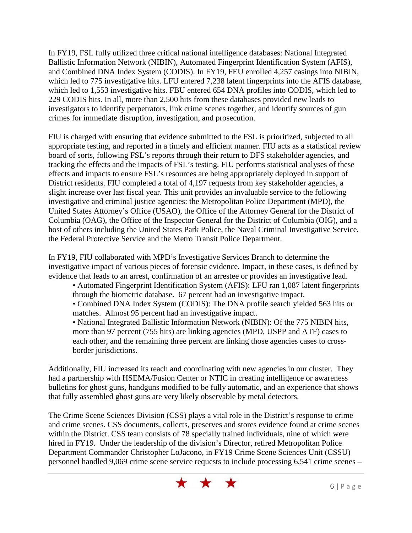In FY19, FSL fully utilized three critical national intelligence databases: National Integrated Ballistic Information Network (NIBIN), Automated Fingerprint Identification System (AFIS), and Combined DNA Index System (CODIS). In FY19, FEU enrolled 4,257 casings into NIBIN, which led to 775 investigative hits. LFU entered 7,238 latent fingerprints into the AFIS database, which led to 1,553 investigative hits. FBU entered 654 DNA profiles into CODIS, which led to 229 CODIS hits. In all, more than 2,500 hits from these databases provided new leads to investigators to identify perpetrators, link crime scenes together, and identify sources of gun crimes for immediate disruption, investigation, and prosecution.

FIU is charged with ensuring that evidence submitted to the FSL is prioritized, subjected to all appropriate testing, and reported in a timely and efficient manner. FIU acts as a statistical review board of sorts, following FSL's reports through their return to DFS stakeholder agencies, and tracking the effects and the impacts of FSL's testing. FIU performs statistical analyses of these effects and impacts to ensure FSL's resources are being appropriately deployed in support of District residents. FIU completed a total of 4,197 requests from key stakeholder agencies, a slight increase over last fiscal year. This unit provides an invaluable service to the following investigative and criminal justice agencies: the Metropolitan Police Department (MPD), the United States Attorney's Office (USAO), the Office of the Attorney General for the District of Columbia (OAG), the Office of the Inspector General for the District of Columbia (OIG), and a host of others including the United States Park Police, the Naval Criminal Investigative Service, the Federal Protective Service and the Metro Transit Police Department.

In FY19, FIU collaborated with MPD's Investigative Services Branch to determine the investigative impact of various pieces of forensic evidence. Impact, in these cases, is defined by evidence that leads to an arrest, confirmation of an arrestee or provides an investigative lead.

• Automated Fingerprint Identification System (AFIS): LFU ran 1,087 latent fingerprints through the biometric database. 67 percent had an investigative impact.

• Combined DNA Index System (CODIS): The DNA profile search yielded 563 hits or matches. Almost 95 percent had an investigative impact.

• National Integrated Ballistic Information Network (NIBIN): Of the 775 NIBIN hits, more than 97 percent (755 hits) are linking agencies (MPD, USPP and ATF) cases to each other, and the remaining three percent are linking those agencies cases to crossborder jurisdictions.

Additionally, FIU increased its reach and coordinating with new agencies in our cluster. They had a partnership with HSEMA/Fusion Center or NTIC in creating intelligence or awareness bulletins for ghost guns, handguns modified to be fully automatic, and an experience that shows that fully assembled ghost guns are very likely observable by metal detectors.

The Crime Scene Sciences Division (CSS) plays a vital role in the District's response to crime and crime scenes. CSS documents, collects, preserves and stores evidence found at crime scenes within the District. CSS team consists of 78 specially trained individuals, nine of which were hired in FY19. Under the leadership of the division's Director, retired Metropolitan Police Department Commander Christopher LoJacono, in FY19 Crime Scene Sciences Unit (CSSU) personnel handled 9,069 crime scene service requests to include processing 6,541 crime scenes –

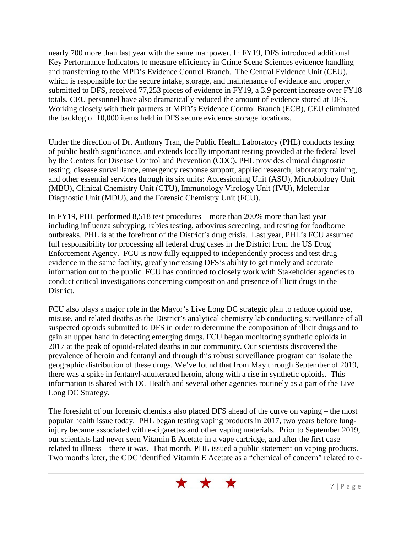nearly 700 more than last year with the same manpower. In FY19, DFS introduced additional Key Performance Indicators to measure efficiency in Crime Scene Sciences evidence handling and transferring to the MPD's Evidence Control Branch. The Central Evidence Unit (CEU), which is responsible for the secure intake, storage, and maintenance of evidence and property submitted to DFS, received 77,253 pieces of evidence in FY19, a 3.9 percent increase over FY18 totals. CEU personnel have also dramatically reduced the amount of evidence stored at DFS. Working closely with their partners at MPD's Evidence Control Branch (ECB), CEU eliminated the backlog of 10,000 items held in DFS secure evidence storage locations.

Under the direction of Dr. Anthony Tran, the Public Health Laboratory (PHL) conducts testing of public health significance, and extends locally important testing provided at the federal level by the Centers for Disease Control and Prevention (CDC). PHL provides clinical diagnostic testing, disease surveillance, emergency response support, applied research, laboratory training, and other essential services through its six units: Accessioning Unit (ASU), Microbiology Unit (MBU), Clinical Chemistry Unit (CTU), Immunology Virology Unit (IVU), Molecular Diagnostic Unit (MDU), and the Forensic Chemistry Unit (FCU).

In FY19, PHL performed 8,518 test procedures – more than 200% more than last year – including influenza subtyping, rabies testing, arbovirus screening, and testing for foodborne outbreaks. PHL is at the forefront of the District's drug crisis. Last year, PHL's FCU assumed full responsibility for processing all federal drug cases in the District from the US Drug Enforcement Agency. FCU is now fully equipped to independently process and test drug evidence in the same facility, greatly increasing DFS's ability to get timely and accurate information out to the public. FCU has continued to closely work with Stakeholder agencies to conduct critical investigations concerning composition and presence of illicit drugs in the District.

FCU also plays a major role in the Mayor's Live Long DC strategic plan to reduce opioid use, misuse, and related deaths as the District's analytical chemistry lab conducting surveillance of all suspected opioids submitted to DFS in order to determine the composition of illicit drugs and to gain an upper hand in detecting emerging drugs. FCU began monitoring synthetic opioids in 2017 at the peak of opioid-related deaths in our community. Our scientists discovered the prevalence of heroin and fentanyl and through this robust surveillance program can isolate the geographic distribution of these drugs. We've found that from May through September of 2019, there was a spike in fentanyl-adulterated heroin, along with a rise in synthetic opioids. This information is shared with DC Health and several other agencies routinely as a part of the Live Long DC Strategy.

The foresight of our forensic chemists also placed DFS ahead of the curve on vaping – the most popular health issue today. PHL began testing vaping products in 2017, two years before lunginjury became associated with e-cigarettes and other vaping materials. Prior to September 2019, our scientists had never seen Vitamin E Acetate in a vape cartridge, and after the first case related to illness – there it was. That month, PHL issued a public statement on vaping products. Two months later, the CDC identified Vitamin E Acetate as a "chemical of concern" related to e-

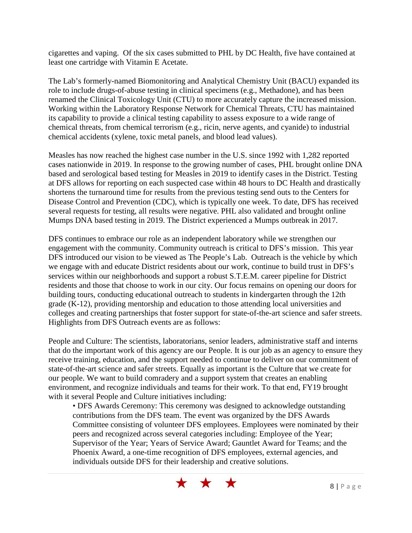cigarettes and vaping. Of the six cases submitted to PHL by DC Health, five have contained at least one cartridge with Vitamin E Acetate.

The Lab's formerly-named Biomonitoring and Analytical Chemistry Unit (BACU) expanded its role to include drugs-of-abuse testing in clinical specimens (e.g., Methadone), and has been renamed the Clinical Toxicology Unit (CTU) to more accurately capture the increased mission. Working within the Laboratory Response Network for Chemical Threats, CTU has maintained its capability to provide a clinical testing capability to assess exposure to a wide range of chemical threats, from chemical terrorism (e.g., ricin, nerve agents, and cyanide) to industrial chemical accidents (xylene, toxic metal panels, and blood lead values).

Measles has now reached the highest case number in the U.S. since 1992 with 1,282 reported cases nationwide in 2019. In response to the growing number of cases, PHL brought online DNA based and serological based testing for Measles in 2019 to identify cases in the District. Testing at DFS allows for reporting on each suspected case within 48 hours to DC Health and drastically shortens the turnaround time for results from the previous testing send outs to the Centers for Disease Control and Prevention (CDC), which is typically one week. To date, DFS has received several requests for testing, all results were negative. PHL also validated and brought online Mumps DNA based testing in 2019. The District experienced a Mumps outbreak in 2017.

DFS continues to embrace our role as an independent laboratory while we strengthen our engagement with the community. Community outreach is critical to DFS's mission. This year DFS introduced our vision to be viewed as The People's Lab. Outreach is the vehicle by which we engage with and educate District residents about our work, continue to build trust in DFS's services within our neighborhoods and support a robust S.T.E.M. career pipeline for District residents and those that choose to work in our city. Our focus remains on opening our doors for building tours, conducting educational outreach to students in kindergarten through the 12th grade (K-12), providing mentorship and education to those attending local universities and colleges and creating partnerships that foster support for state-of-the-art science and safer streets. Highlights from DFS Outreach events are as follows:

People and Culture: The scientists, laboratorians, senior leaders, administrative staff and interns that do the important work of this agency are our People. It is our job as an agency to ensure they receive training, education, and the support needed to continue to deliver on our commitment of state-of-the-art science and safer streets. Equally as important is the Culture that we create for our people. We want to build comradery and a support system that creates an enabling environment, and recognize individuals and teams for their work. To that end, FY19 brought with it several People and Culture initiatives including:

• DFS Awards Ceremony: This ceremony was designed to acknowledge outstanding contributions from the DFS team. The event was organized by the DFS Awards Committee consisting of volunteer DFS employees. Employees were nominated by their peers and recognized across several categories including: Employee of the Year; Supervisor of the Year; Years of Service Award; Gauntlet Award for Teams; and the Phoenix Award, a one-time recognition of DFS employees, external agencies, and individuals outside DFS for their leadership and creative solutions.

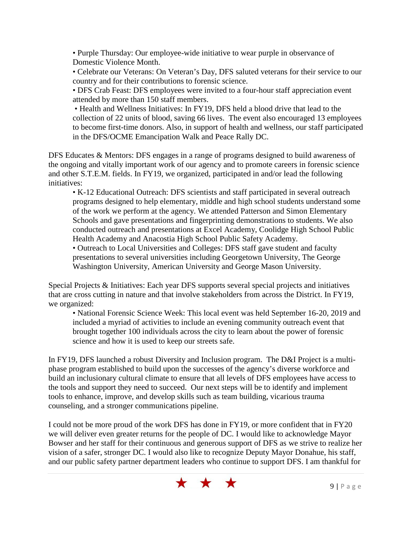• Purple Thursday: Our employee-wide initiative to wear purple in observance of Domestic Violence Month.

• Celebrate our Veterans: On Veteran's Day, DFS saluted veterans for their service to our country and for their contributions to forensic science.

• DFS Crab Feast: DFS employees were invited to a four-hour staff appreciation event attended by more than 150 staff members.

• Health and Wellness Initiatives: In FY19, DFS held a blood drive that lead to the collection of 22 units of blood, saving 66 lives. The event also encouraged 13 employees to become first-time donors. Also, in support of health and wellness, our staff participated in the DFS/OCME Emancipation Walk and Peace Rally DC.

DFS Educates & Mentors: DFS engages in a range of programs designed to build awareness of the ongoing and vitally important work of our agency and to promote careers in forensic science and other S.T.E.M. fields. In FY19, we organized, participated in and/or lead the following initiatives:

• K-12 Educational Outreach: DFS scientists and staff participated in several outreach programs designed to help elementary, middle and high school students understand some of the work we perform at the agency. We attended Patterson and Simon Elementary Schools and gave presentations and fingerprinting demonstrations to students. We also conducted outreach and presentations at Excel Academy, Coolidge High School Public Health Academy and Anacostia High School Public Safety Academy.

• Outreach to Local Universities and Colleges: DFS staff gave student and faculty presentations to several universities including Georgetown University, The George Washington University, American University and George Mason University.

Special Projects & Initiatives: Each year DFS supports several special projects and initiatives that are cross cutting in nature and that involve stakeholders from across the District. In FY19, we organized:

• National Forensic Science Week: This local event was held September 16-20, 2019 and included a myriad of activities to include an evening community outreach event that brought together 100 individuals across the city to learn about the power of forensic science and how it is used to keep our streets safe.

In FY19, DFS launched a robust Diversity and Inclusion program. The D&I Project is a multiphase program established to build upon the successes of the agency's diverse workforce and build an inclusionary cultural climate to ensure that all levels of DFS employees have access to the tools and support they need to succeed. Our next steps will be to identify and implement tools to enhance, improve, and develop skills such as team building, vicarious trauma counseling, and a stronger communications pipeline.

I could not be more proud of the work DFS has done in FY19, or more confident that in FY20 we will deliver even greater returns for the people of DC. I would like to acknowledge Mayor Bowser and her staff for their continuous and generous support of DFS as we strive to realize her vision of a safer, stronger DC. I would also like to recognize Deputy Mayor Donahue, his staff, and our public safety partner department leaders who continue to support DFS. I am thankful for